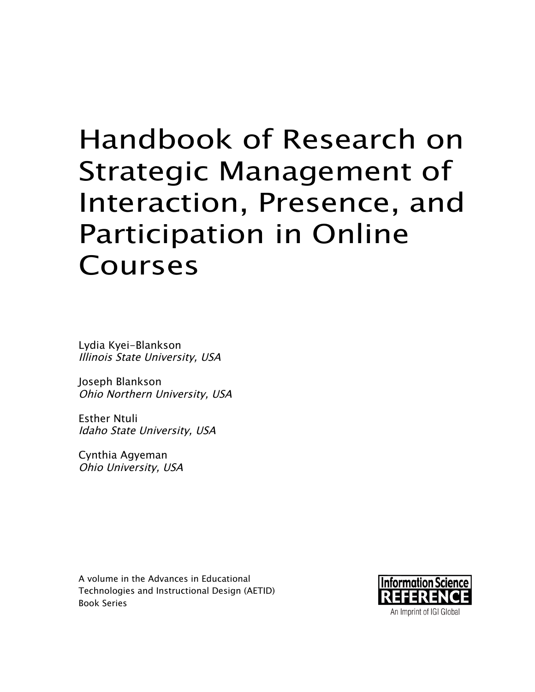# Handbook of Research on Strategic Management of Interaction, Presence, and Participation in Online Courses

Lydia Kyei-Blankson Illinois State University, USA

Joseph Blankson Ohio Northern University, USA

Esther Ntuli Idaho State University, USA

Cynthia Agyeman Ohio University, USA

A volume in the Advances in Educational Technologies and Instructional Design (AETID) Book Series

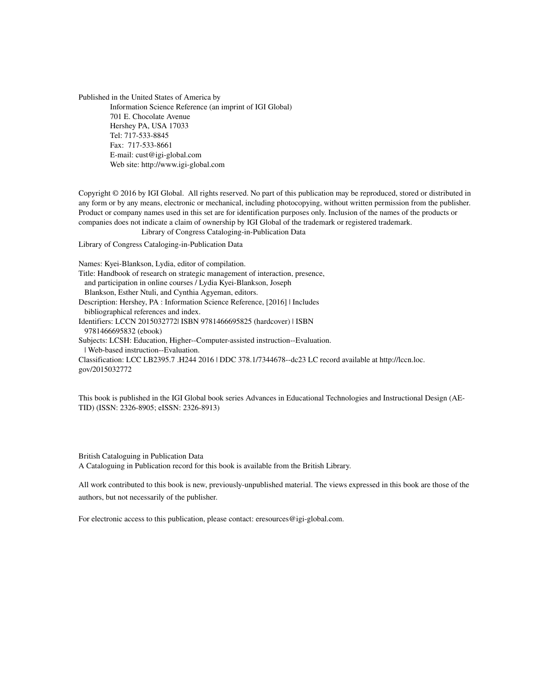Published in the United States of America by

Information Science Reference (an imprint of IGI Global) 701 E. Chocolate Avenue Hershey PA, USA 17033 Tel: 717-533-8845 Fax: 717-533-8661 E-mail: cust@igi-global.com Web site: http://www.igi-global.com

Copyright © 2016 by IGI Global. All rights reserved. No part of this publication may be reproduced, stored or distributed in any form or by any means, electronic or mechanical, including photocopying, without written permission from the publisher. Product or company names used in this set are for identification purposes only. Inclusion of the names of the products or companies does not indicate a claim of ownership by IGI Global of the trademark or registered trademark.

Library of Congress Cataloging-in-Publication Data

Library of Congress Cataloging-in-Publication Data

Names: Kyei-Blankson, Lydia, editor of compilation.

gov/2015032772

Title: Handbook of research on strategic management of interaction, presence, and participation in online courses / Lydia Kyei-Blankson, Joseph Blankson, Esther Ntuli, and Cynthia Agyeman, editors. Description: Hershey, PA : Information Science Reference, [2016] | Includes bibliographical references and index. Identifiers: LCCN 2015032772| ISBN 9781466695825 (hardcover) | ISBN 9781466695832 (ebook) Subjects: LCSH: Education, Higher--Computer-assisted instruction--Evaluation. | Web-based instruction--Evaluation. Classification: LCC LB2395.7 .H244 2016 | DDC 378.1/7344678--dc23 LC record available at http://lccn.loc.

This book is published in the IGI Global book series Advances in Educational Technologies and Instructional Design (AE-TID) (ISSN: 2326-8905; eISSN: 2326-8913)

British Cataloguing in Publication Data A Cataloguing in Publication record for this book is available from the British Library.

All work contributed to this book is new, previously-unpublished material. The views expressed in this book are those of the authors, but not necessarily of the publisher.

For electronic access to this publication, please contact: eresources@igi-global.com.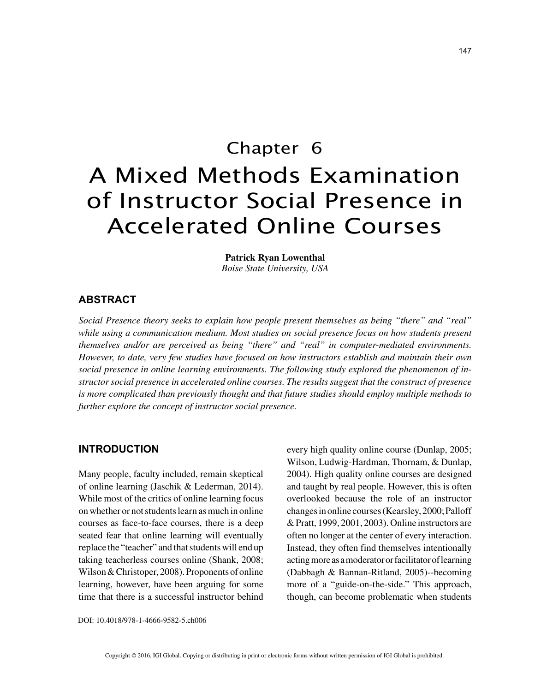## Chapter 6 A Mixed Methods Examination of Instructor Social Presence in Accelerated Online Courses

**Patrick Ryan Lowenthal** *Boise State University, USA*

#### **ABSTRACT**

*Social Presence theory seeks to explain how people present themselves as being "there" and "real" while using a communication medium. Most studies on social presence focus on how students present themselves and/or are perceived as being "there" and "real" in computer-mediated environments. However, to date, very few studies have focused on how instructors establish and maintain their own social presence in online learning environments. The following study explored the phenomenon of instructor social presence in accelerated online courses. The results suggest that the construct of presence is more complicated than previously thought and that future studies should employ multiple methods to further explore the concept of instructor social presence.*

#### **INTRODUCTION**

Many people, faculty included, remain skeptical of online learning (Jaschik & Lederman, 2014). While most of the critics of online learning focus on whether or not students learn as much in online courses as face-to-face courses, there is a deep seated fear that online learning will eventually replace the "teacher" and that students will end up taking teacherless courses online (Shank, 2008; Wilson & Christoper, 2008). Proponents of online learning, however, have been arguing for some time that there is a successful instructor behind every high quality online course (Dunlap, 2005; Wilson, Ludwig-Hardman, Thornam, & Dunlap, 2004). High quality online courses are designed and taught by real people. However, this is often overlooked because the role of an instructor changes in online courses (Kearsley, 2000; Palloff & Pratt, 1999, 2001, 2003). Online instructors are often no longer at the center of every interaction. Instead, they often find themselves intentionally acting more as a moderator or facilitator of learning (Dabbagh & Bannan-Ritland, 2005)--becoming more of a "guide-on-the-side." This approach, though, can become problematic when students

DOI: 10.4018/978-1-4666-9582-5.ch006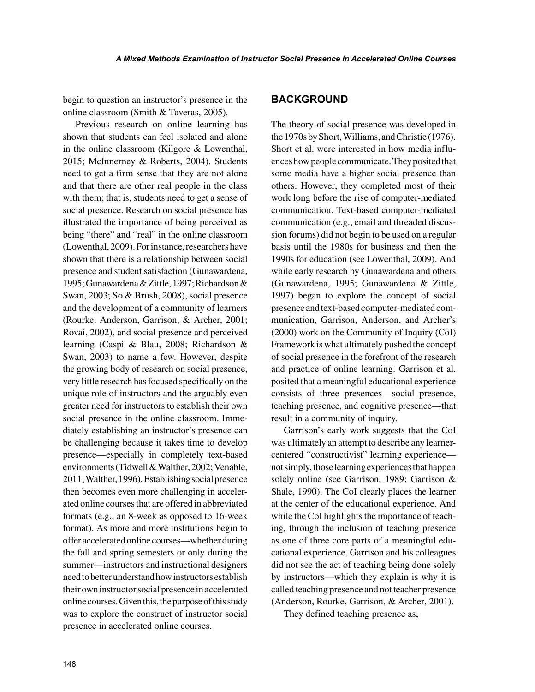begin to question an instructor's presence in the online classroom (Smith & Taveras, 2005).

Previous research on online learning has shown that students can feel isolated and alone in the online classroom (Kilgore & Lowenthal, 2015; McInnerney & Roberts, 2004). Students need to get a firm sense that they are not alone and that there are other real people in the class with them; that is, students need to get a sense of social presence. Research on social presence has illustrated the importance of being perceived as being "there" and "real" in the online classroom (Lowenthal, 2009). For instance, researchers have shown that there is a relationship between social presence and student satisfaction (Gunawardena, 1995; Gunawardena & Zittle, 1997; Richardson & Swan, 2003; So & Brush, 2008), social presence and the development of a community of learners (Rourke, Anderson, Garrison, & Archer, 2001; Rovai, 2002), and social presence and perceived learning (Caspi & Blau, 2008; Richardson & Swan, 2003) to name a few. However, despite the growing body of research on social presence, very little research has focused specifically on the unique role of instructors and the arguably even greater need for instructors to establish their own social presence in the online classroom. Immediately establishing an instructor's presence can be challenging because it takes time to develop presence—especially in completely text-based environments (Tidwell & Walther, 2002; Venable, 2011; Walther, 1996). Establishing social presence then becomes even more challenging in accelerated online courses that are offered in abbreviated formats (e.g., an 8-week as opposed to 16-week format). As more and more institutions begin to offer accelerated online courses—whether during the fall and spring semesters or only during the summer—instructors and instructional designers need to better understand how instructors establish their own instructor social presence in accelerated online courses. Given this, the purpose of this study was to explore the construct of instructor social presence in accelerated online courses.

#### **BACKGROUND**

The theory of social presence was developed in the 1970s by Short, Williams, and Christie (1976). Short et al. were interested in how media influences how people communicate. They posited that some media have a higher social presence than others. However, they completed most of their work long before the rise of computer-mediated communication. Text-based computer-mediated communication (e.g., email and threaded discussion forums) did not begin to be used on a regular basis until the 1980s for business and then the 1990s for education (see Lowenthal, 2009). And while early research by Gunawardena and others (Gunawardena, 1995; Gunawardena & Zittle, 1997) began to explore the concept of social presence and text-based computer-mediated communication, Garrison, Anderson, and Archer's (2000) work on the Community of Inquiry (CoI) Framework is what ultimately pushed the concept of social presence in the forefront of the research and practice of online learning. Garrison et al. posited that a meaningful educational experience consists of three presences—social presence, teaching presence, and cognitive presence—that result in a community of inquiry.

Garrison's early work suggests that the CoI was ultimately an attempt to describe any learnercentered "constructivist" learning experience not simply, those learning experiences that happen solely online (see Garrison, 1989; Garrison & Shale, 1990). The CoI clearly places the learner at the center of the educational experience. And while the CoI highlights the importance of teaching, through the inclusion of teaching presence as one of three core parts of a meaningful educational experience, Garrison and his colleagues did not see the act of teaching being done solely by instructors—which they explain is why it is called teaching presence and not teacher presence (Anderson, Rourke, Garrison, & Archer, 2001).

They defined teaching presence as,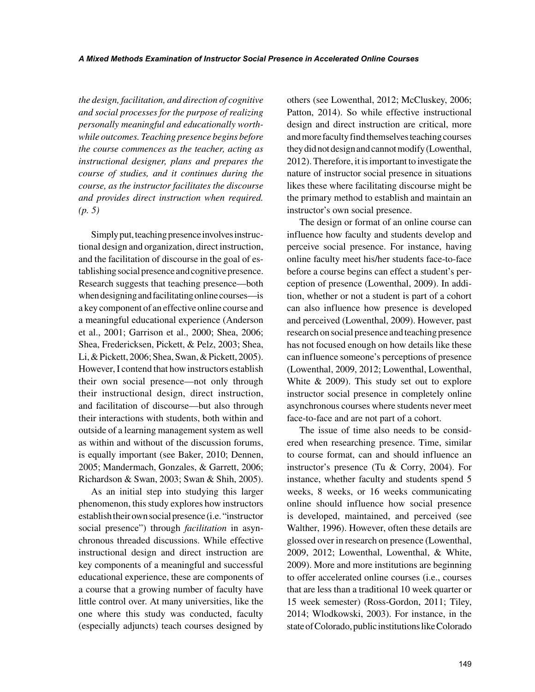*the design, facilitation, and direction of cognitive and social processes for the purpose of realizing personally meaningful and educationally worthwhile outcomes. Teaching presence begins before the course commences as the teacher, acting as instructional designer, plans and prepares the course of studies, and it continues during the course, as the instructor facilitates the discourse and provides direct instruction when required. (p. 5)* 

Simply put, teaching presence involves instructional design and organization, direct instruction, and the facilitation of discourse in the goal of establishing social presence and cognitive presence. Research suggests that teaching presence—both when designing and facilitating online courses—is a key component of an effective online course and a meaningful educational experience (Anderson et al., 2001; Garrison et al., 2000; Shea, 2006; Shea, Fredericksen, Pickett, & Pelz, 2003; Shea, Li, & Pickett, 2006; Shea, Swan, & Pickett, 2005). However, I contend that how instructors establish their own social presence—not only through their instructional design, direct instruction, and facilitation of discourse—but also through their interactions with students, both within and outside of a learning management system as well as within and without of the discussion forums, is equally important (see Baker, 2010; Dennen, 2005; Mandermach, Gonzales, & Garrett, 2006; Richardson & Swan, 2003; Swan & Shih, 2005).

As an initial step into studying this larger phenomenon, this study explores how instructors establish their own social presence (i.e. "instructor social presence") through *facilitation* in asynchronous threaded discussions. While effective instructional design and direct instruction are key components of a meaningful and successful educational experience, these are components of a course that a growing number of faculty have little control over. At many universities, like the one where this study was conducted, faculty (especially adjuncts) teach courses designed by others (see Lowenthal, 2012; McCluskey, 2006; Patton, 2014). So while effective instructional design and direct instruction are critical, more and more faculty find themselves teaching courses they did not design and cannot modify (Lowenthal, 2012). Therefore, it is important to investigate the nature of instructor social presence in situations likes these where facilitating discourse might be the primary method to establish and maintain an instructor's own social presence.

The design or format of an online course can influence how faculty and students develop and perceive social presence. For instance, having online faculty meet his/her students face-to-face before a course begins can effect a student's perception of presence (Lowenthal, 2009). In addition, whether or not a student is part of a cohort can also influence how presence is developed and perceived (Lowenthal, 2009). However, past research on social presence and teaching presence has not focused enough on how details like these can influence someone's perceptions of presence (Lowenthal, 2009, 2012; Lowenthal, Lowenthal, White & 2009). This study set out to explore instructor social presence in completely online asynchronous courses where students never meet face-to-face and are not part of a cohort.

The issue of time also needs to be considered when researching presence. Time, similar to course format, can and should influence an instructor's presence (Tu & Corry, 2004). For instance, whether faculty and students spend 5 weeks, 8 weeks, or 16 weeks communicating online should influence how social presence is developed, maintained, and perceived (see Walther, 1996). However, often these details are glossed over in research on presence (Lowenthal, 2009, 2012; Lowenthal, Lowenthal, & White, 2009). More and more institutions are beginning to offer accelerated online courses (i.e., courses that are less than a traditional 10 week quarter or 15 week semester) (Ross-Gordon, 2011; Tiley, 2014; Wlodkowski, 2003). For instance, in the state of Colorado, public institutions like Colorado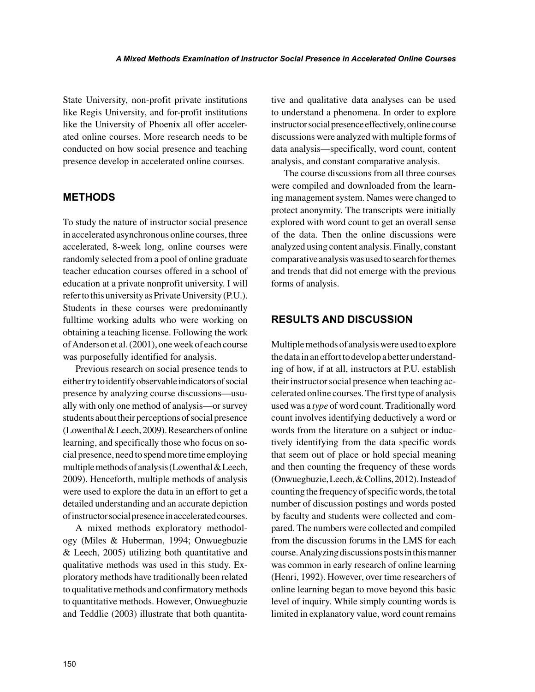State University, non-profit private institutions like Regis University, and for-profit institutions like the University of Phoenix all offer accelerated online courses. More research needs to be conducted on how social presence and teaching presence develop in accelerated online courses.

#### **METHODS**

To study the nature of instructor social presence in accelerated asynchronous online courses, three accelerated, 8-week long, online courses were randomly selected from a pool of online graduate teacher education courses offered in a school of education at a private nonprofit university. I will refer to this university as Private University (P.U.). Students in these courses were predominantly fulltime working adults who were working on obtaining a teaching license. Following the work of Anderson et al. (2001), one week of each course was purposefully identified for analysis.

Previous research on social presence tends to either try to identify observable indicators of social presence by analyzing course discussions—usually with only one method of analysis—or survey students about their perceptions of social presence (Lowenthal & Leech, 2009). Researchers of online learning, and specifically those who focus on social presence, need to spend more time employing multiple methods of analysis (Lowenthal & Leech, 2009). Henceforth, multiple methods of analysis were used to explore the data in an effort to get a detailed understanding and an accurate depiction of instructor social presence in accelerated courses.

A mixed methods exploratory methodology (Miles & Huberman, 1994; Onwuegbuzie & Leech, 2005) utilizing both quantitative and qualitative methods was used in this study. Exploratory methods have traditionally been related to qualitative methods and confirmatory methods to quantitative methods. However, Onwuegbuzie and Teddlie (2003) illustrate that both quantitative and qualitative data analyses can be used to understand a phenomena. In order to explore instructor social presence effectively, online course discussions were analyzed with multiple forms of data analysis—specifically, word count, content analysis, and constant comparative analysis.

The course discussions from all three courses were compiled and downloaded from the learning management system. Names were changed to protect anonymity. The transcripts were initially explored with word count to get an overall sense of the data. Then the online discussions were analyzed using content analysis. Finally, constant comparative analysis was used to search for themes and trends that did not emerge with the previous forms of analysis.

#### **RESULTS AND DISCUSSION**

Multiple methods of analysis were used to explore the data in an effort to develop a better understanding of how, if at all, instructors at P.U. establish their instructor social presence when teaching accelerated online courses. The first type of analysis used was a *type* of word count. Traditionally word count involves identifying deductively a word or words from the literature on a subject or inductively identifying from the data specific words that seem out of place or hold special meaning and then counting the frequency of these words (Onwuegbuzie, Leech, & Collins, 2012). Instead of counting the frequency of specific words, the total number of discussion postings and words posted by faculty and students were collected and compared. The numbers were collected and compiled from the discussion forums in the LMS for each course. Analyzing discussions posts in this manner was common in early research of online learning (Henri, 1992). However, over time researchers of online learning began to move beyond this basic level of inquiry. While simply counting words is limited in explanatory value, word count remains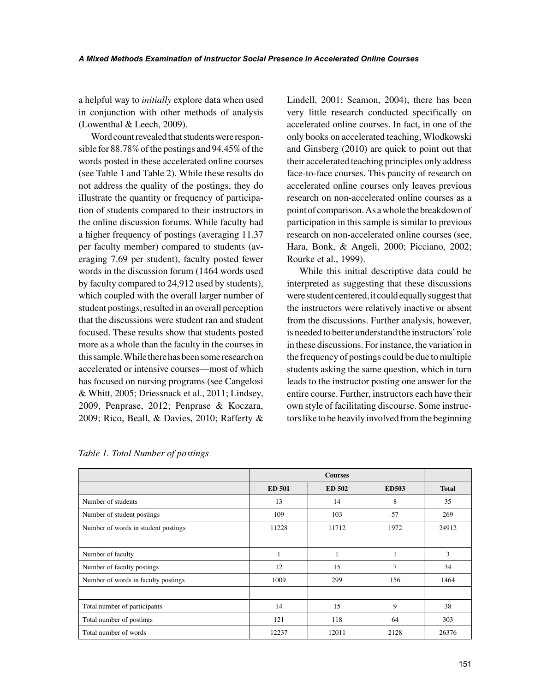a helpful way to *initially* explore data when used in conjunction with other methods of analysis (Lowenthal & Leech, 2009).

Word count revealed that students were responsible for 88.78% of the postings and 94.45% of the words posted in these accelerated online courses (see Table 1 and Table 2). While these results do not address the quality of the postings, they do illustrate the quantity or frequency of participation of students compared to their instructors in the online discussion forums. While faculty had a higher frequency of postings (averaging 11.37 per faculty member) compared to students (averaging 7.69 per student), faculty posted fewer words in the discussion forum (1464 words used by faculty compared to 24,912 used by students), which coupled with the overall larger number of student postings, resulted in an overall perception that the discussions were student ran and student focused. These results show that students posted more as a whole than the faculty in the courses in this sample. While there has been some research on accelerated or intensive courses—most of which has focused on nursing programs (see Cangelosi & Whitt, 2005; Driessnack et al., 2011; Lindsey, 2009, Penprase, 2012; Penprase & Koczara, 2009; Rico, Beall, & Davies, 2010; Rafferty &

Lindell, 2001; Seamon, 2004), there has been very little research conducted specifically on accelerated online courses. In fact, in one of the only books on accelerated teaching, Wlodkowski and Ginsberg (2010) are quick to point out that their accelerated teaching principles only address face-to-face courses. This paucity of research on accelerated online courses only leaves previous research on non-accelerated online courses as a point of comparison. As a whole the breakdown of participation in this sample is similar to previous research on non-accelerated online courses (see, Hara, Bonk, & Angeli, 2000; Picciano, 2002; Rourke et al., 1999).

While this initial descriptive data could be interpreted as suggesting that these discussions were student centered, it could equally suggest that the instructors were relatively inactive or absent from the discussions. Further analysis, however, is needed to better understand the instructors' role in these discussions. For instance, the variation in the frequency of postings could be due to multiple students asking the same question, which in turn leads to the instructor posting one answer for the entire course. Further, instructors each have their own style of facilitating discourse. Some instructors like to be heavily involved from the beginning

|                                     | <b>Courses</b> |        |              |              |
|-------------------------------------|----------------|--------|--------------|--------------|
|                                     | <b>ED 501</b>  | ED 502 | <b>ED503</b> | <b>Total</b> |
| Number of students                  | 13             | 14     | 8            | 35           |
| Number of student postings          | 109            | 103    | 57           | 269          |
| Number of words in student postings | 11228          | 11712  | 1972         | 24912        |
|                                     |                |        |              |              |
| Number of faculty                   |                |        |              | 3            |
| Number of faculty postings          | 12             | 15     | 7            | 34           |
| Number of words in faculty postings | 1009           | 299    | 156          | 1464         |
|                                     |                |        |              |              |
| Total number of participants        | 14             | 15     | 9            | 38           |
| Total number of postings            | 121            | 118    | 64           | 303          |
| Total number of words               | 12237          | 12011  | 2128         | 26376        |

*Table 1. Total Number of postings*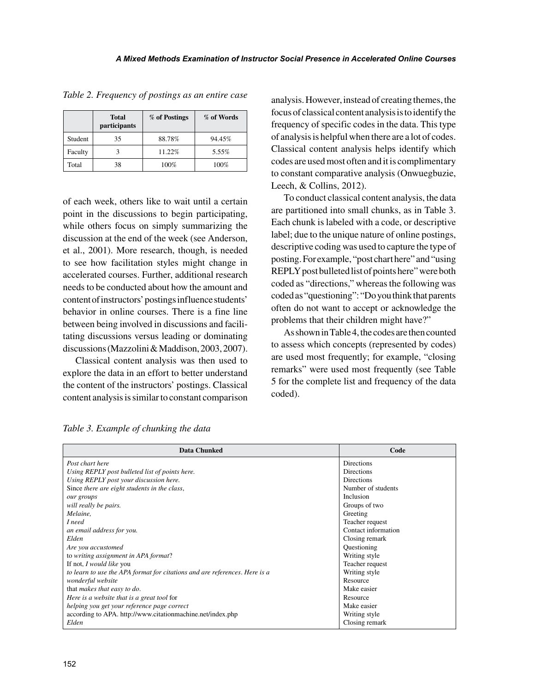|         | Total<br>participants | % of Postings | % of Words |
|---------|-----------------------|---------------|------------|
| Student | 35                    | 88.78%        | 94.45%     |
| Faculty |                       | 11.22%        | 5.55%      |
| Total   | 38                    | 100%          | 100%       |

*Table 2. Frequency of postings as an entire case*

of each week, others like to wait until a certain point in the discussions to begin participating, while others focus on simply summarizing the discussion at the end of the week (see Anderson, et al., 2001). More research, though, is needed to see how facilitation styles might change in accelerated courses. Further, additional research needs to be conducted about how the amount and content of instructors' postings influence students' behavior in online courses. There is a fine line between being involved in discussions and facilitating discussions versus leading or dominating discussions (Mazzolini & Maddison, 2003, 2007).

Classical content analysis was then used to explore the data in an effort to better understand the content of the instructors' postings. Classical content analysis is similar to constant comparison analysis. However, instead of creating themes, the focus of classical content analysis is to identify the frequency of specific codes in the data. This type of analysis is helpful when there are a lot of codes. Classical content analysis helps identify which codes are used most often and it is complimentary to constant comparative analysis (Onwuegbuzie, Leech, & Collins, 2012).

To conduct classical content analysis, the data are partitioned into small chunks, as in Table 3. Each chunk is labeled with a code, or descriptive label; due to the unique nature of online postings, descriptive coding was used to capture the type of posting. For example, "post chart here" and "using REPLY post bulleted list of points here" were both coded as "directions," whereas the following was coded as "questioning": "Do you think that parents often do not want to accept or acknowledge the problems that their children might have?"

As shown in Table 4, the codes are then counted to assess which concepts (represented by codes) are used most frequently; for example, "closing remarks" were used most frequently (see Table 5 for the complete list and frequency of the data coded).

| <b>Data Chunked</b>                                                        | Code                |
|----------------------------------------------------------------------------|---------------------|
| Post chart here                                                            | Directions          |
| Using REPLY post bulleted list of points here.                             | <b>Directions</b>   |
| Using REPLY post your discussion here.                                     | Directions          |
| Since there are eight students in the class,                               | Number of students  |
| our groups                                                                 | <b>Inclusion</b>    |
| will really be pairs.                                                      | Groups of two       |
| Melaine,                                                                   | Greeting            |
| I need                                                                     | Teacher request     |
| an email address for you.                                                  | Contact information |
| Elden                                                                      | Closing remark      |
| Are you accustomed                                                         | Questioning         |
| to writing assignment in APA format?                                       | Writing style       |
| If not, I would like you                                                   | Teacher request     |
| to learn to use the APA format for citations and are references. Here is a | Writing style       |
| wonderful website                                                          | Resource            |
| that makes that easy to do.                                                | Make easier         |
| Here is a website that is a great tool for                                 | Resource            |
| helping you get your reference page correct                                | Make easier         |
| according to APA. http://www.citationmachine.net/index.php                 | Writing style       |
| Elden                                                                      | Closing remark      |

*Table 3. Example of chunking the data*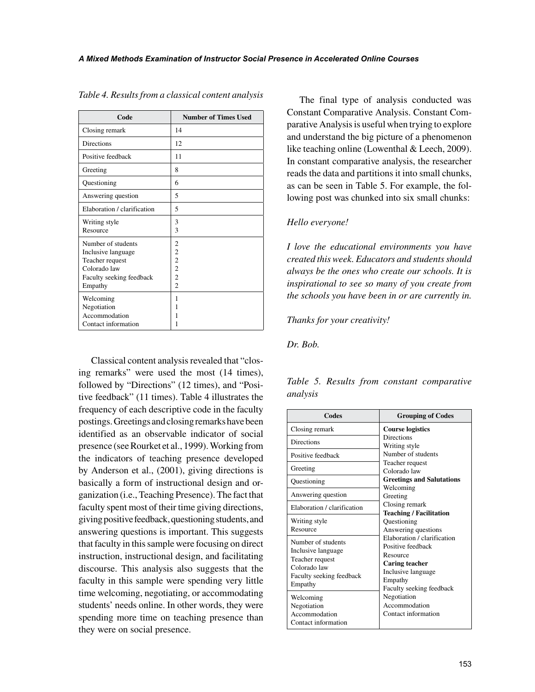| Code                        | <b>Number of Times Used</b>                |
|-----------------------------|--------------------------------------------|
| Closing remark              | 14                                         |
| <b>Directions</b>           | 12                                         |
| Positive feedback           | 11                                         |
| Greeting                    | 8                                          |
| Questioning                 | 6                                          |
| Answering question          | 5                                          |
| Elaboration / clarification | 5                                          |
| Writing style               | 3                                          |
| Resource                    | 3                                          |
| Number of students          | 2                                          |
| Inclusive language          | $\overline{c}$                             |
| Teacher request             | $\begin{array}{c} 2 \\ 2 \\ 2 \end{array}$ |
| Colorado law                |                                            |
| Faculty seeking feedback    |                                            |
| Empathy                     | $\overline{\mathcal{L}}$                   |
| Welcoming                   | 1                                          |
| Negotiation                 | 1                                          |
| Accommodation               |                                            |
| Contact information         | 1                                          |

*Table 4. Results from a classical content analysis*

Classical content analysis revealed that "closing remarks" were used the most (14 times), followed by "Directions" (12 times), and "Positive feedback" (11 times). Table 4 illustrates the frequency of each descriptive code in the faculty postings. Greetings and closing remarks have been identified as an observable indicator of social presence (see Rourket et al., 1999). Working from the indicators of teaching presence developed by Anderson et al., (2001), giving directions is basically a form of instructional design and organization (i.e., Teaching Presence). The fact that faculty spent most of their time giving directions, giving positive feedback, questioning students, and answering questions is important. This suggests that faculty in this sample were focusing on direct instruction, instructional design, and facilitating discourse. This analysis also suggests that the faculty in this sample were spending very little time welcoming, negotiating, or accommodating students' needs online. In other words, they were spending more time on teaching presence than they were on social presence.

The final type of analysis conducted was Constant Comparative Analysis. Constant Comparative Analysis is useful when trying to explore and understand the big picture of a phenomenon like teaching online (Lowenthal & Leech, 2009). In constant comparative analysis, the researcher reads the data and partitions it into small chunks, as can be seen in Table 5. For example, the following post was chunked into six small chunks:

#### *Hello everyone!*

*I love the educational environments you have created this week. Educators and students should always be the ones who create our schools. It is inspirational to see so many of you create from the schools you have been in or are currently in.*

*Thanks for your creativity!*

*Dr. Bob.* 

| Codes                                                                                                              | <b>Grouping of Codes</b>                                                                                                                                                                                  |  |
|--------------------------------------------------------------------------------------------------------------------|-----------------------------------------------------------------------------------------------------------------------------------------------------------------------------------------------------------|--|
| Closing remark                                                                                                     | <b>Course logistics</b><br><b>Directions</b><br>Writing style                                                                                                                                             |  |
| <b>Directions</b>                                                                                                  |                                                                                                                                                                                                           |  |
| Positive feedback                                                                                                  | Number of students                                                                                                                                                                                        |  |
| Greeting                                                                                                           | Teacher request<br>Colorado law                                                                                                                                                                           |  |
| Questioning                                                                                                        | <b>Greetings and Salutations</b>                                                                                                                                                                          |  |
| Answering question                                                                                                 | Welcoming<br>Greeting                                                                                                                                                                                     |  |
| Elaboration / clarification                                                                                        | Closing remark<br><b>Teaching / Facilitation</b>                                                                                                                                                          |  |
| Writing style<br>Resource                                                                                          | Questioning<br>Answering questions                                                                                                                                                                        |  |
| Number of students<br>Inclusive language<br>Teacher request<br>Colorado law<br>Faculty seeking feedback<br>Empathy | Elaboration / clarification<br>Positive feedback<br>Resource<br><b>Caring teacher</b><br>Inclusive language<br>Empathy<br>Faculty seeking feedback<br>Negotiation<br>Accommodation<br>Contact information |  |
| Welcoming<br>Negotiation<br>Accommodation<br>Contact information                                                   |                                                                                                                                                                                                           |  |

*Table 5. Results from constant comparative analysis*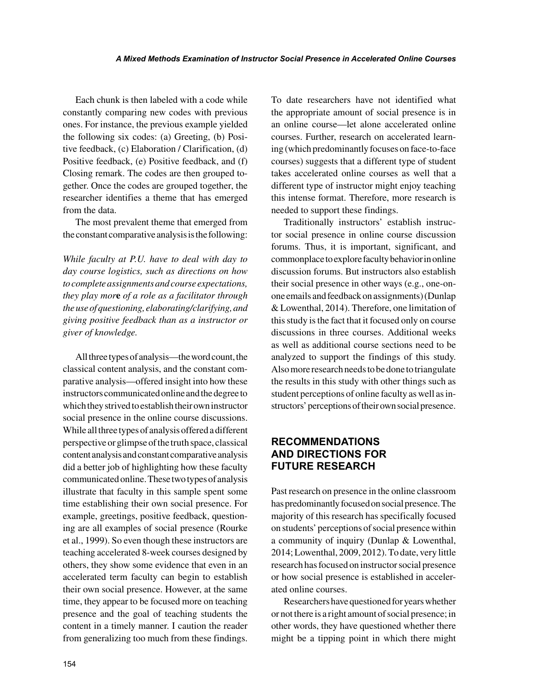Each chunk is then labeled with a code while constantly comparing new codes with previous ones. For instance, the previous example yielded the following six codes: (a) Greeting, (b) Positive feedback, (c) Elaboration / Clarification, (d) Positive feedback, (e) Positive feedback, and (f) Closing remark. The codes are then grouped together. Once the codes are grouped together, the researcher identifies a theme that has emerged from the data.

The most prevalent theme that emerged from the constant comparative analysis is the following:

*While faculty at P.U. have to deal with day to day course logistics, such as directions on how to complete assignments and course expectations, they play mor***e** *of a role as a facilitator through the use of questioning, elaborating/clarifying, and giving positive feedback than as a instructor or giver of knowledge.*

All three types of analysis—the word count, the classical content analysis, and the constant comparative analysis—offered insight into how these instructors communicated online and the degree to which they strived to establish their own instructor social presence in the online course discussions. While all three types of analysis offered a different perspective or glimpse of the truth space, classical content analysis and constant comparative analysis did a better job of highlighting how these faculty communicated online. These two types of analysis illustrate that faculty in this sample spent some time establishing their own social presence. For example, greetings, positive feedback, questioning are all examples of social presence (Rourke et al., 1999). So even though these instructors are teaching accelerated 8-week courses designed by others, they show some evidence that even in an accelerated term faculty can begin to establish their own social presence. However, at the same time, they appear to be focused more on teaching presence and the goal of teaching students the content in a timely manner. I caution the reader from generalizing too much from these findings.

To date researchers have not identified what the appropriate amount of social presence is in an online course—let alone accelerated online courses. Further, research on accelerated learning (which predominantly focuses on face-to-face courses) suggests that a different type of student takes accelerated online courses as well that a different type of instructor might enjoy teaching this intense format. Therefore, more research is needed to support these findings.

Traditionally instructors' establish instructor social presence in online course discussion forums. Thus, it is important, significant, and commonplace to explore faculty behavior in online discussion forums. But instructors also establish their social presence in other ways (e.g., one-onone emails and feedback on assignments) (Dunlap & Lowenthal, 2014). Therefore, one limitation of this study is the fact that it focused only on course discussions in three courses. Additional weeks as well as additional course sections need to be analyzed to support the findings of this study. Also more research needs to be done to triangulate the results in this study with other things such as student perceptions of online faculty as well as instructors' perceptions of their own social presence.

#### **RECOMMENDATIONS AND DIRECTIONS FOR FUTURE RESEARCH**

Past research on presence in the online classroom has predominantly focused on social presence. The majority of this research has specifically focused on students' perceptions of social presence within a community of inquiry (Dunlap & Lowenthal, 2014; Lowenthal, 2009, 2012). To date, very little research has focused on instructor social presence or how social presence is established in accelerated online courses.

Researchers have questioned for years whether or not there is a right amount of social presence; in other words, they have questioned whether there might be a tipping point in which there might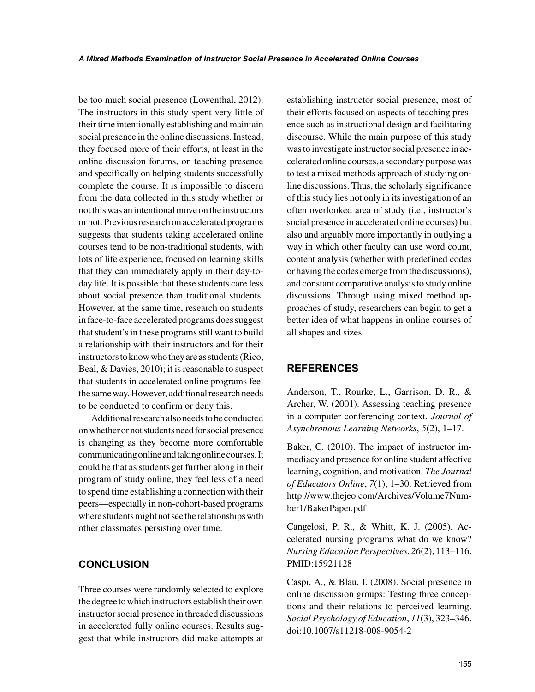be too much social presence (Lowenthal, 2012). The instructors in this study spent very little of their time intentionally establishing and maintain social presence in the online discussions. Instead, they focused more of their efforts, at least in the online discussion forums, on teaching presence and specifically on helping students successfully complete the course. It is impossible to discern from the data collected in this study whether or not this was an intentional move on the instructors or not. Previous research on accelerated programs suggests that students taking accelerated online courses tend to be non-traditional students, with lots of life experience, focused on learning skills that they can immediately apply in their day-today life. It is possible that these students care less about social presence than traditional students. However, at the same time, research on students in face-to-face accelerated programs does suggest that student's in these programs still want to build a relationship with their instructors and for their instructors to know who they are as students (Rico, Beal, & Davies, 2010); it is reasonable to suspect that students in accelerated online programs feel the same way. However, additional research needs to be conducted to confirm or deny this.

Additional research also needs to be conducted on whether or not students need for social presence is changing as they become more comfortable communicating online and taking online courses. It could be that as students get further along in their program of study online, they feel less of a need to spend time establishing a connection with their peers—especially in non-cohort-based programs where students might not see the relationships with other classmates persisting over time.

#### **CONCLUSION**

Three courses were randomly selected to explore the degree to which instructors establish their own instructor social presence in threaded discussions in accelerated fully online courses. Results suggest that while instructors did make attempts at establishing instructor social presence, most of their efforts focused on aspects of teaching presence such as instructional design and facilitating discourse. While the main purpose of this study was to investigate instructor social presence in accelerated online courses, a secondary purpose was to test a mixed methods approach of studying online discussions. Thus, the scholarly significance of this study lies not only in its investigation of an often overlooked area of study (i.e., instructor's social presence in accelerated online courses) but also and arguably more importantly in outlying a way in which other faculty can use word count, content analysis (whether with predefined codes or having the codes emerge from the discussions), and constant comparative analysis to study online discussions. Through using mixed method approaches of study, researchers can begin to get a better idea of what happens in online courses of all shapes and sizes.

#### **REFERENCES**

Anderson, T., Rourke, L., Garrison, D. R., & Archer, W. (2001). Assessing teaching presence in a computer conferencing context. *Journal of Asynchronous Learning Networks*, *5*(2), 1–17.

Baker, C. (2010). The impact of instructor immediacy and presence for online student affective learning, cognition, and motivation. *The Journal of Educators Online*, *7*(1), 1–30. Retrieved from http://www.thejeo.com/Archives/Volume7Number1/BakerPaper.pdf

Cangelosi, P. R., & Whitt, K. J. (2005). Accelerated nursing programs what do we know? *Nursing Education Perspectives*, *26*(2), 113–116. PMID:15921128

Caspi, A., & Blau, I. (2008). Social presence in online discussion groups: Testing three conceptions and their relations to perceived learning. *Social Psychology of Education*, *11*(3), 323–346. doi:10.1007/s11218-008-9054-2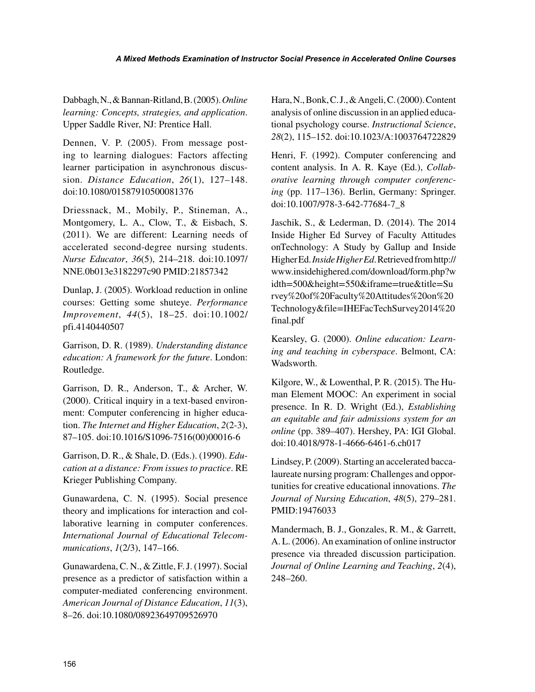Dabbagh, N., & Bannan-Ritland, B. (2005). *Online learning: Concepts, strategies, and application*. Upper Saddle River, NJ: Prentice Hall.

Dennen, V. P. (2005). From message posting to learning dialogues: Factors affecting learner participation in asynchronous discussion. *Distance Education*, *26*(1), 127–148. doi:10.1080/01587910500081376

Driessnack, M., Mobily, P., Stineman, A., Montgomery, L. A., Clow, T., & Eisbach, S. (2011). We are different: Learning needs of accelerated second-degree nursing students. *Nurse Educator*, *36*(5), 214–218. doi:10.1097/ NNE.0b013e3182297c90 PMID:21857342

Dunlap, J. (2005). Workload reduction in online courses: Getting some shuteye. *Performance Improvement*, *44*(5), 18–25. doi:10.1002/ pfi.4140440507

Garrison, D. R. (1989). *Understanding distance education: A framework for the future*. London: Routledge.

Garrison, D. R., Anderson, T., & Archer, W. (2000). Critical inquiry in a text-based environment: Computer conferencing in higher education. *The Internet and Higher Education*, *2*(2-3), 87–105. doi:10.1016/S1096-7516(00)00016-6

Garrison, D. R., & Shale, D. (Eds.). (1990). *Education at a distance: From issues to practice*. RE Krieger Publishing Company.

Gunawardena, C. N. (1995). Social presence theory and implications for interaction and collaborative learning in computer conferences. *International Journal of Educational Telecommunications*, *1*(2/3), 147–166.

Gunawardena, C. N., & Zittle, F. J. (1997). Social presence as a predictor of satisfaction within a computer-mediated conferencing environment. *American Journal of Distance Education*, *11*(3), 8–26. doi:10.1080/08923649709526970

Hara, N., Bonk, C. J., & Angeli, C. (2000). Content analysis of online discussion in an applied educational psychology course. *Instructional Science*, *28*(2), 115–152. doi:10.1023/A:1003764722829

Henri, F. (1992). Computer conferencing and content analysis. In A. R. Kaye (Ed.), *Collaborative learning through computer conferencing* (pp. 117–136). Berlin, Germany: Springer. doi:10.1007/978-3-642-77684-7\_8

Jaschik, S., & Lederman, D. (2014). The 2014 Inside Higher Ed Survey of Faculty Attitudes onTechnology: A Study by Gallup and Inside Higher Ed. *Inside Higher Ed*. Retrieved from http:// www.insidehighered.com/download/form.php?w idth=500&height=550&iframe=true&title=Su rvey%20of%20Faculty%20Attitudes%20on%20 Technology&file=IHEFacTechSurvey2014%20 final.pdf

Kearsley, G. (2000). *Online education: Learning and teaching in cyberspace*. Belmont, CA: Wadsworth.

Kilgore, W., & Lowenthal, P. R. (2015). The Human Element MOOC: An experiment in social presence. In R. D. Wright (Ed.), *Establishing an equitable and fair admissions system for an online* (pp. 389–407). Hershey, PA: IGI Global. doi:10.4018/978-1-4666-6461-6.ch017

Lindsey, P. (2009). Starting an accelerated baccalaureate nursing program: Challenges and opportunities for creative educational innovations. *The Journal of Nursing Education*, *48*(5), 279–281. PMID:19476033

Mandermach, B. J., Gonzales, R. M., & Garrett, A. L. (2006). An examination of online instructor presence via threaded discussion participation. *Journal of Online Learning and Teaching*, *2*(4), 248–260.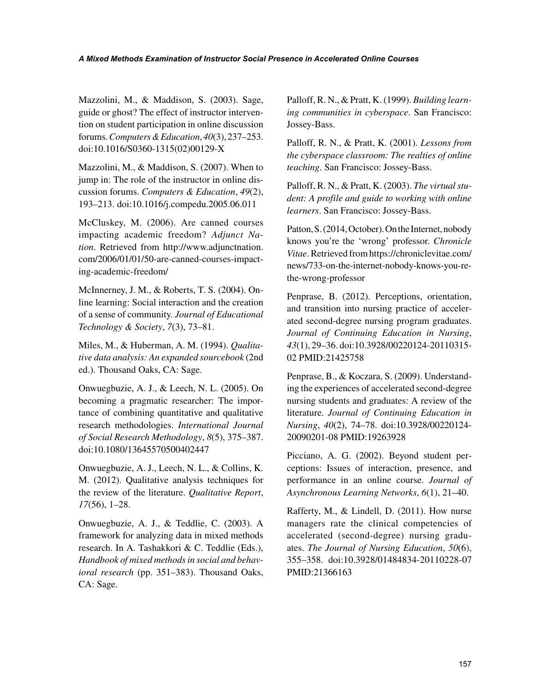Mazzolini, M., & Maddison, S. (2003). Sage, guide or ghost? The effect of instructor intervention on student participation in online discussion forums. *Computers & Education*, *40*(3), 237–253. doi:10.1016/S0360-1315(02)00129-X

Mazzolini, M., & Maddison, S. (2007). When to jump in: The role of the instructor in online discussion forums. *Computers & Education*, *49*(2), 193–213. doi:10.1016/j.compedu.2005.06.011

McCluskey, M. (2006). Are canned courses impacting academic freedom? *Adjunct Nation*. Retrieved from http://www.adjunctnation. com/2006/01/01/50-are-canned-courses-impacting-academic-freedom/

McInnerney, J. M., & Roberts, T. S. (2004). Online learning: Social interaction and the creation of a sense of community. *Journal of Educational Technology & Society*, *7*(3), 73–81.

Miles, M., & Huberman, A. M. (1994). *Qualitative data analysis: An expanded sourcebook* (2nd ed.). Thousand Oaks, CA: Sage.

Onwuegbuzie, A. J., & Leech, N. L. (2005). On becoming a pragmatic researcher: The importance of combining quantitative and qualitative research methodologies. *International Journal of Social Research Methodology*, *8*(5), 375–387. doi:10.1080/13645570500402447

Onwuegbuzie, A. J., Leech, N. L., & Collins, K. M. (2012). Qualitative analysis techniques for the review of the literature. *Qualitative Report*, *17*(56), 1–28.

Onwuegbuzie, A. J., & Teddlie, C. (2003). A framework for analyzing data in mixed methods research. In A. Tashakkori & C. Teddlie (Eds.), *Handbook of mixed methods in social and behavioral research* (pp. 351–383). Thousand Oaks, CA: Sage.

Palloff, R. N., & Pratt, K. (1999). *Building learning communities in cyberspace*. San Francisco: Jossey-Bass.

Palloff, R. N., & Pratt, K. (2001). *Lessons from the cyberspace classroom: The realties of online teaching*. San Francisco: Jossey-Bass.

Palloff, R. N., & Pratt, K. (2003). *The virtual student: A profile and guide to working with online learners*. San Francisco: Jossey-Bass.

Patton, S. (2014, October). On the Internet, nobody knows you're the 'wrong' professor. *Chronicle Vitae*. Retrieved from https://chroniclevitae.com/ news/733-on-the-internet-nobody-knows-you-rethe-wrong-professor

Penprase, B. (2012). Perceptions, orientation, and transition into nursing practice of accelerated second-degree nursing program graduates. *Journal of Continuing Education in Nursing*, *43*(1), 29–36. doi:10.3928/00220124-20110315- 02 PMID:21425758

Penprase, B., & Koczara, S. (2009). Understanding the experiences of accelerated second-degree nursing students and graduates: A review of the literature. *Journal of Continuing Education in Nursing*, *40*(2), 74–78. doi:10.3928/00220124- 20090201-08 PMID:19263928

Picciano, A. G. (2002). Beyond student perceptions: Issues of interaction, presence, and performance in an online course. *Journal of Asynchronous Learning Networks*, *6*(1), 21–40.

Rafferty, M., & Lindell, D. (2011). How nurse managers rate the clinical competencies of accelerated (second-degree) nursing graduates. *The Journal of Nursing Education*, *50*(6), 355–358. doi:10.3928/01484834-20110228-07 PMID:21366163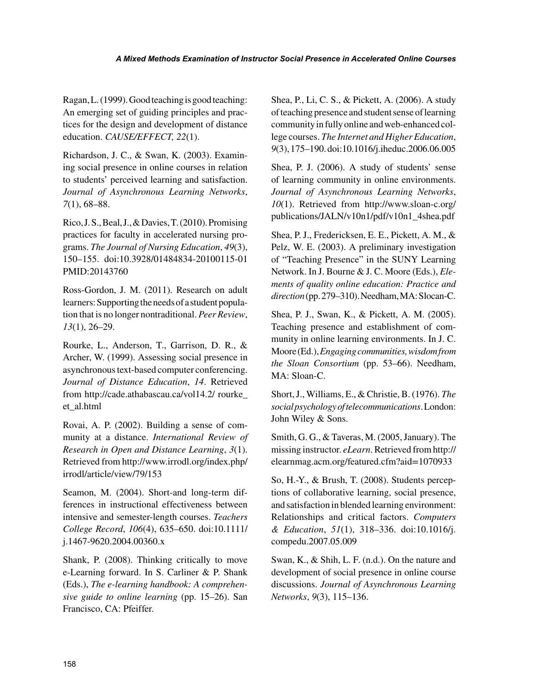Ragan, L. (1999). Good teaching is good teaching: An emerging set of guiding principles and practices for the design and development of distance education. *CAUSE/EFFECT, 22*(1).

Richardson, J. C., & Swan, K. (2003). Examining social presence in online courses in relation to students' perceived learning and satisfaction. *Journal of Asynchronous Learning Networks*, *7*(1), 68–88.

Rico, J. S., Beal, J., & Davies, T. (2010). Promising practices for faculty in accelerated nursing programs. *The Journal of Nursing Education*, *49*(3), 150–155. doi:10.3928/01484834-20100115-01 PMID:20143760

Ross-Gordon, J. M. (2011). Research on adult learners: Supporting the needs of a student population that is no longer nontraditional. *Peer Review*, *13*(1), 26–29.

Rourke, L., Anderson, T., Garrison, D. R., & Archer, W. (1999). Assessing social presence in asynchronous text-based computer conferencing. *Journal of Distance Education*, *14*. Retrieved from http://cade.athabascau.ca/vol14.2/ rourke\_ et\_al.html

Rovai, A. P. (2002). Building a sense of community at a distance. *International Review of Research in Open and Distance Learning*, *3*(1). Retrieved from http://www.irrodl.org/index.php/ irrodl/article/view/79/153

Seamon, M. (2004). Short-and long-term differences in instructional effectiveness between intensive and semester-length courses. *Teachers College Record*, *106*(4), 635–650. doi:10.1111/ j.1467-9620.2004.00360.x

Shank, P. (2008). Thinking critically to move e-Learning forward. In S. Carliner & P. Shank (Eds.), *The e-learning handbook: A comprehensive guide to online learning* (pp. 15–26). San Francisco, CA: Pfeiffer.

Shea, P., Li, C. S., & Pickett, A. (2006). A study of teaching presence and student sense of learning community in fully online and web-enhanced college courses. *The Internet and Higher Education*, *9*(3), 175–190. doi:10.1016/j.iheduc.2006.06.005

Shea, P. J. (2006). A study of students' sense of learning community in online environments. *Journal of Asynchronous Learning Networks*, *10*(1). Retrieved from http://www.sloan-c.org/ publications/JALN/v10n1/pdf/v10n1\_4shea.pdf

Shea, P. J., Fredericksen, E. E., Pickett, A. M., & Pelz, W. E. (2003). A preliminary investigation of "Teaching Presence" in the SUNY Learning Network. In J. Bourne & J. C. Moore (Eds.), *Elements of quality online education: Practice and direction* (pp. 279–310). Needham, MA: Slocan-C.

Shea, P. J., Swan, K., & Pickett, A. M. (2005). Teaching presence and establishment of community in online learning environments. In J. C. Moore (Ed.), *Engaging communities, wisdom from the Sloan Consortium* (pp. 53–66). Needham, MA: Sloan-C.

Short, J., Williams, E., & Christie, B. (1976). *The social psychology of telecommunications*. London: John Wiley & Sons.

Smith, G. G., & Taveras, M. (2005, January). The missing instructor. *eLearn*. Retrieved from http:// elearnmag.acm.org/featured.cfm?aid=1070933

So, H.-Y., & Brush, T. (2008). Students perceptions of collaborative learning, social presence, and satisfaction in blended learning environment: Relationships and critical factors. *Computers & Education*, *51*(1), 318–336. doi:10.1016/j. compedu.2007.05.009

Swan, K., & Shih, L. F. (n.d.). On the nature and development of social presence in online course discussions. *Journal of Asynchronous Learning Networks*, *9*(3), 115–136.